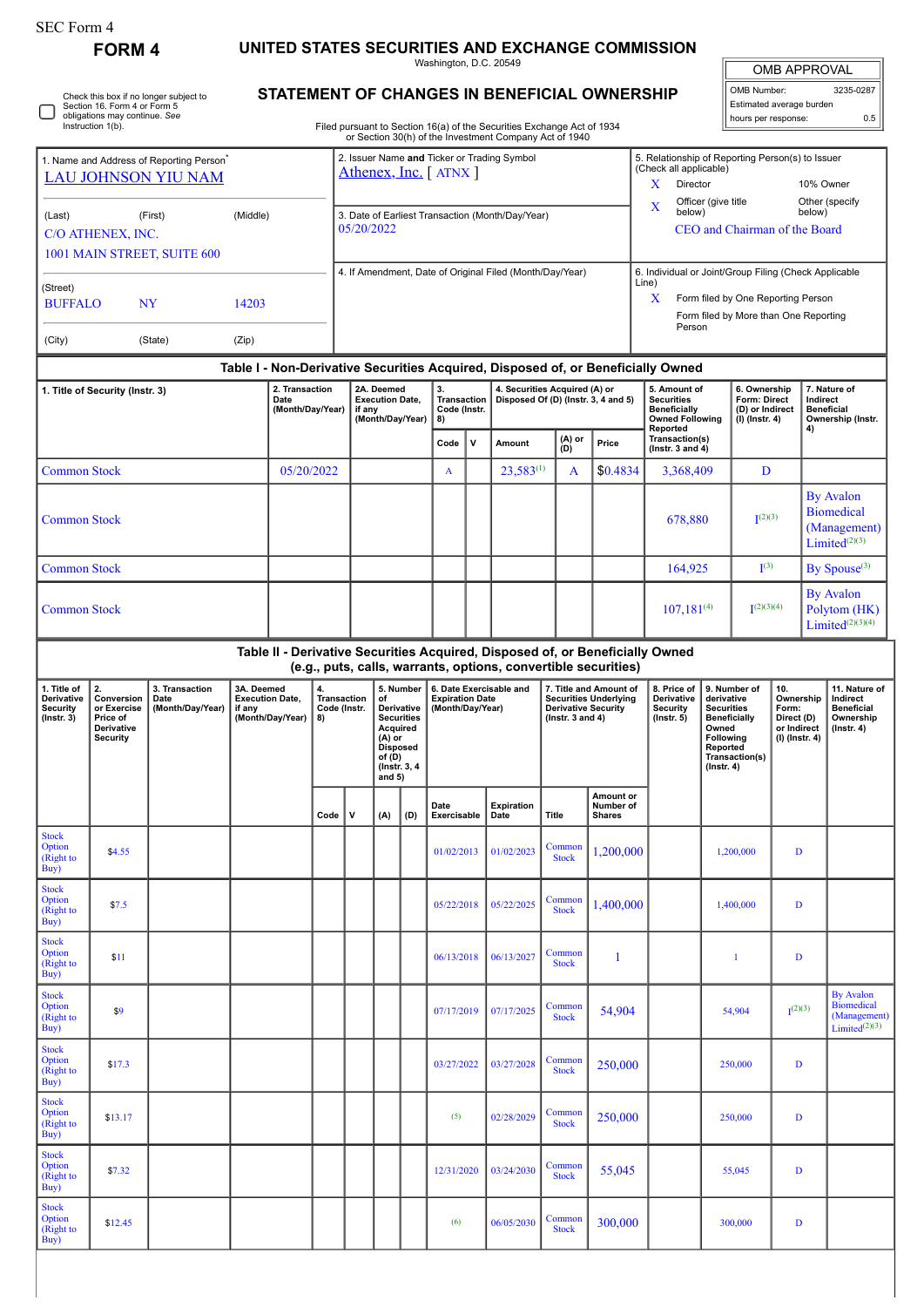| SEC Form 4    |                                                                            |
|---------------|----------------------------------------------------------------------------|
| <b>FORM 4</b> | UNITED STATES SECURITIES AND EXCHANGE COMMISSION<br>Washington, D.C. 20549 |

OMB APPROVAL

OMB Number: 3235-0287 Estimated average burden hours per response: 0.5

| ◡ | Check this box if no longer subject to<br>Section 16. Form 4 or Form 5<br>obligations may continue. See |
|---|---------------------------------------------------------------------------------------------------------|
|   | Instruction 1(b).                                                                                       |

## **STATEMENT OF CHANGES IN BENEFICIAL OWNERSHIP**

Filed pursuant to Section 16(a) of the Securities Exchange Act of 1934

|                                                                                    |                                                                              |                                            |                                                                    |                                                                                                                                |                                                |                                                                    |                                                                                                                                   |                                         |                                                                       |                                                                      | or Section 30(h) of the Investment Company Act of 1940         |                        |                                                                                                                                                    |                                                                               |                                                                                                              |                                                                                                            |                                                                    |                                                                                    |  |
|------------------------------------------------------------------------------------|------------------------------------------------------------------------------|--------------------------------------------|--------------------------------------------------------------------|--------------------------------------------------------------------------------------------------------------------------------|------------------------------------------------|--------------------------------------------------------------------|-----------------------------------------------------------------------------------------------------------------------------------|-----------------------------------------|-----------------------------------------------------------------------|----------------------------------------------------------------------|----------------------------------------------------------------|------------------------|----------------------------------------------------------------------------------------------------------------------------------------------------|-------------------------------------------------------------------------------|--------------------------------------------------------------------------------------------------------------|------------------------------------------------------------------------------------------------------------|--------------------------------------------------------------------|------------------------------------------------------------------------------------|--|
| 1. Name and Address of Reporting Person <sup>®</sup><br><b>LAU JOHNSON YIU NAM</b> |                                                                              |                                            |                                                                    |                                                                                                                                |                                                |                                                                    |                                                                                                                                   |                                         | Athenex, Inc. [ATNX]                                                  |                                                                      | 2. Issuer Name and Ticker or Trading Symbol                    |                        | 5. Relationship of Reporting Person(s) to Issuer<br>(Check all applicable)<br>X<br>Director<br>10% Owner                                           |                                                                               |                                                                                                              |                                                                                                            |                                                                    |                                                                                    |  |
| (Last)                                                                             | (First)<br>(Middle)<br>C/O ATHENEX, INC.                                     |                                            |                                                                    |                                                                                                                                |                                                |                                                                    | 05/20/2022                                                                                                                        |                                         |                                                                       |                                                                      | 3. Date of Earliest Transaction (Month/Day/Year)               |                        |                                                                                                                                                    | Officer (give title<br>X<br>below)<br>CEO and Chairman of the Board           |                                                                                                              |                                                                                                            | Other (specify<br>below)                                           |                                                                                    |  |
|                                                                                    |                                                                              | 1001 MAIN STREET, SUITE 600                |                                                                    |                                                                                                                                |                                                |                                                                    |                                                                                                                                   |                                         |                                                                       |                                                                      |                                                                |                        |                                                                                                                                                    |                                                                               |                                                                                                              |                                                                                                            |                                                                    |                                                                                    |  |
| (Street)<br><b>BUFFALO</b><br><b>NY</b><br>14203                                   |                                                                              |                                            |                                                                    |                                                                                                                                |                                                |                                                                    |                                                                                                                                   |                                         |                                                                       |                                                                      | 4. If Amendment, Date of Original Filed (Month/Day/Year)       |                        | 6. Individual or Joint/Group Filing (Check Applicable<br>Line)<br>X<br>Form filed by One Reporting Person<br>Form filed by More than One Reporting |                                                                               |                                                                                                              |                                                                                                            |                                                                    |                                                                                    |  |
| (City)                                                                             |                                                                              | (State)                                    | (Zip)                                                              |                                                                                                                                |                                                |                                                                    |                                                                                                                                   |                                         |                                                                       |                                                                      |                                                                |                        |                                                                                                                                                    | Person                                                                        |                                                                                                              |                                                                                                            |                                                                    |                                                                                    |  |
|                                                                                    |                                                                              |                                            |                                                                    |                                                                                                                                |                                                |                                                                    |                                                                                                                                   |                                         |                                                                       |                                                                      |                                                                |                        |                                                                                                                                                    |                                                                               |                                                                                                              |                                                                                                            |                                                                    |                                                                                    |  |
| 1. Title of Security (Instr. 3)                                                    |                                                                              |                                            |                                                                    | Table I - Non-Derivative Securities Acquired, Disposed of, or Beneficially Owned<br>2. Transaction<br>Date<br>(Month/Day/Year) |                                                | 2A. Deemed<br><b>Execution Date,</b><br>if any<br>(Month/Day/Year) |                                                                                                                                   | 3.<br>Transaction<br>Code (Instr.<br>8) |                                                                       | 4. Securities Acquired (A) or<br>Disposed Of (D) (Instr. 3, 4 and 5) |                                                                |                        | 5. Amount of<br><b>Securities</b><br><b>Beneficially</b><br><b>Owned Following</b><br>Reported                                                     | 6. Ownership<br>Form: Direct<br>(D) or Indirect<br>(I) (Instr. 4)             |                                                                                                              | 4)                                                                                                         | 7. Nature of<br>Indirect<br><b>Beneficial</b><br>Ownership (Instr. |                                                                                    |  |
|                                                                                    |                                                                              |                                            |                                                                    |                                                                                                                                |                                                |                                                                    |                                                                                                                                   |                                         | $\mathbf v$<br>Code                                                   |                                                                      | Amount                                                         | $(A)$ or<br>$(D)$      |                                                                                                                                                    | Transaction(s)<br>(Instr. $3$ and $4$ )                                       |                                                                                                              |                                                                                                            |                                                                    |                                                                                    |  |
| <b>Common Stock</b>                                                                |                                                                              |                                            |                                                                    | 05/20/2022                                                                                                                     |                                                |                                                                    |                                                                                                                                   |                                         | A                                                                     |                                                                      | $23.583^{(1)}$                                                 | A                      | \$0.4834                                                                                                                                           | 3,368,409                                                                     |                                                                                                              | D                                                                                                          |                                                                    |                                                                                    |  |
| <b>Common Stock</b>                                                                |                                                                              |                                            |                                                                    |                                                                                                                                |                                                |                                                                    |                                                                                                                                   |                                         |                                                                       |                                                                      |                                                                |                        |                                                                                                                                                    | 678.880                                                                       |                                                                                                              | (2)(3)                                                                                                     |                                                                    | <b>By Avalon</b><br><b>Biomedical</b><br>(Management)<br>Limited <sup>(2)(3)</sup> |  |
| <b>Common Stock</b>                                                                |                                                                              |                                            |                                                                    |                                                                                                                                |                                                |                                                                    |                                                                                                                                   |                                         |                                                                       |                                                                      |                                                                |                        |                                                                                                                                                    | 164,925                                                                       |                                                                                                              | $\mathbf{I}^{(3)}$                                                                                         |                                                                    | By Spouse <sup>(3)</sup>                                                           |  |
|                                                                                    | <b>Common Stock</b>                                                          |                                            |                                                                    |                                                                                                                                |                                                |                                                                    |                                                                                                                                   |                                         |                                                                       |                                                                      |                                                                |                        |                                                                                                                                                    | $107,181^{(4)}$                                                               | $\mathbf{I}^{(2)(3)(4)}$                                                                                     |                                                                                                            |                                                                    | <b>By Avalon</b><br>Polytom (HK)<br>Limited $(2)(3)(4)$                            |  |
|                                                                                    |                                                                              |                                            |                                                                    |                                                                                                                                |                                                |                                                                    |                                                                                                                                   |                                         |                                                                       |                                                                      | (e.g., puts, calls, warrants, options, convertible securities) |                        |                                                                                                                                                    | Table II - Derivative Securities Acquired, Disposed of, or Beneficially Owned |                                                                                                              |                                                                                                            |                                                                    |                                                                                    |  |
| 1. Title of<br>Derivative<br><b>Security</b><br>$($ lnstr. 3 $)$                   | 2.<br>Conversion<br>or Exercise<br>Price of<br>Derivative<br><b>Security</b> | 3. Transaction<br>Date<br>(Month/Day/Year) | 3A. Deemed<br><b>Execution Date,</b><br>if any<br>(Month/Day/Year) |                                                                                                                                | 4.<br><b>Transaction</b><br>Code (Instr.<br>8) |                                                                    | 5. Number<br>of<br>Derivative<br><b>Securities</b><br>Acquired<br>(A) or<br><b>Disposed</b><br>of(D)<br>(Instr. 3, 4)<br>and $5)$ |                                         | 6. Date Exercisable and<br><b>Expiration Date</b><br>(Month/Day/Year) |                                                                      | ( $lnstr. 3 and 4$ )                                           |                        | 7. Title and Amount of<br><b>Securities Underlying</b><br><b>Derivative Security</b>                                                               | 8. Price of<br>Derivative<br><b>Security</b><br>(Instr. 5)                    | derivative<br><b>Securities</b><br><b>Beneficially</b><br>Owned<br>Following<br>Reported<br>$($ lnstr. 4 $)$ | 9. Number of<br>10.<br>Ownership<br>Form:<br>Direct (D)<br>or Indirect<br>(I) (Instr. 4)<br>Transaction(s) |                                                                    | 11. Nature of<br>Indirect<br><b>Beneficial</b><br>Ownership<br>$($ Instr. 4 $)$    |  |
|                                                                                    |                                                                              |                                            |                                                                    |                                                                                                                                | Code                                           | $\mathbf v$                                                        | (A)                                                                                                                               | (D)                                     | Date<br>Exercisable                                                   |                                                                      | Expiration<br>Date                                             | <b>Title</b>           | Amount or<br>Number of<br><b>Shares</b>                                                                                                            |                                                                               |                                                                                                              |                                                                                                            |                                                                    |                                                                                    |  |
| <b>Stock</b><br>Option<br>(Right to<br>Buy)                                        | \$4.55                                                                       |                                            |                                                                    |                                                                                                                                |                                                |                                                                    |                                                                                                                                   |                                         | 01/02/2013                                                            |                                                                      | 01/02/2023                                                     | Common<br><b>Stock</b> | 1,200,000                                                                                                                                          |                                                                               |                                                                                                              | 1,200,000                                                                                                  | D                                                                  |                                                                                    |  |
| <b>Stock</b><br>Option<br>(Right to<br>Buy)                                        | \$7.5                                                                        |                                            |                                                                    |                                                                                                                                |                                                |                                                                    |                                                                                                                                   |                                         | 05/22/2018                                                            |                                                                      | 05/22/2025                                                     | Common<br><b>Stock</b> | 1,400,000                                                                                                                                          |                                                                               |                                                                                                              | $\mathbf D$<br>1,400,000                                                                                   |                                                                    |                                                                                    |  |
| <b>Stock</b><br>Option<br>(Right to<br>Buy)                                        | \$11                                                                         |                                            |                                                                    |                                                                                                                                |                                                |                                                                    |                                                                                                                                   |                                         | 06/13/2018                                                            |                                                                      | 06/13/2027                                                     | Common<br><b>Stock</b> |                                                                                                                                                    |                                                                               |                                                                                                              | D<br>$\mathbf{1}$                                                                                          |                                                                    |                                                                                    |  |
| <b>Stock</b><br>Option<br>(Right to<br>Buy)                                        | \$9                                                                          |                                            |                                                                    |                                                                                                                                |                                                |                                                                    |                                                                                                                                   |                                         | 07/17/2019                                                            |                                                                      | 07/17/2025                                                     | Common<br><b>Stock</b> | 54,904                                                                                                                                             |                                                                               |                                                                                                              | 54,904                                                                                                     | I <sub>1</sub> (2)(3)                                              | <b>By Avalon</b><br><b>Biomedical</b><br>(Management)<br>Limited $(2)(3)$          |  |
| <b>Stock</b><br>Option<br>(Right to<br>Buy)                                        | \$17.3                                                                       |                                            |                                                                    |                                                                                                                                |                                                |                                                                    |                                                                                                                                   |                                         | 03/27/2022                                                            |                                                                      | 03/27/2028                                                     | Common<br><b>Stock</b> | 250,000                                                                                                                                            |                                                                               |                                                                                                              | 250,000                                                                                                    | D                                                                  |                                                                                    |  |
| <b>Stock</b><br>Option<br>(Right to<br>Buy)                                        | \$13.17                                                                      |                                            |                                                                    |                                                                                                                                |                                                |                                                                    |                                                                                                                                   |                                         | (5)                                                                   |                                                                      | 02/28/2029                                                     | Common<br><b>Stock</b> | 250,000                                                                                                                                            |                                                                               |                                                                                                              | 250,000                                                                                                    | D                                                                  |                                                                                    |  |
| <b>Stock</b><br>Option<br>(Right to                                                | \$7.32                                                                       |                                            |                                                                    |                                                                                                                                |                                                |                                                                    |                                                                                                                                   |                                         | 12/31/2020                                                            |                                                                      | 03/24/2030                                                     | Common<br><b>Stock</b> | 55,045                                                                                                                                             |                                                                               |                                                                                                              | 55,045                                                                                                     | D                                                                  |                                                                                    |  |
| Buy)                                                                               |                                                                              |                                            |                                                                    |                                                                                                                                |                                                |                                                                    |                                                                                                                                   |                                         |                                                                       |                                                                      |                                                                |                        |                                                                                                                                                    |                                                                               |                                                                                                              |                                                                                                            |                                                                    |                                                                                    |  |